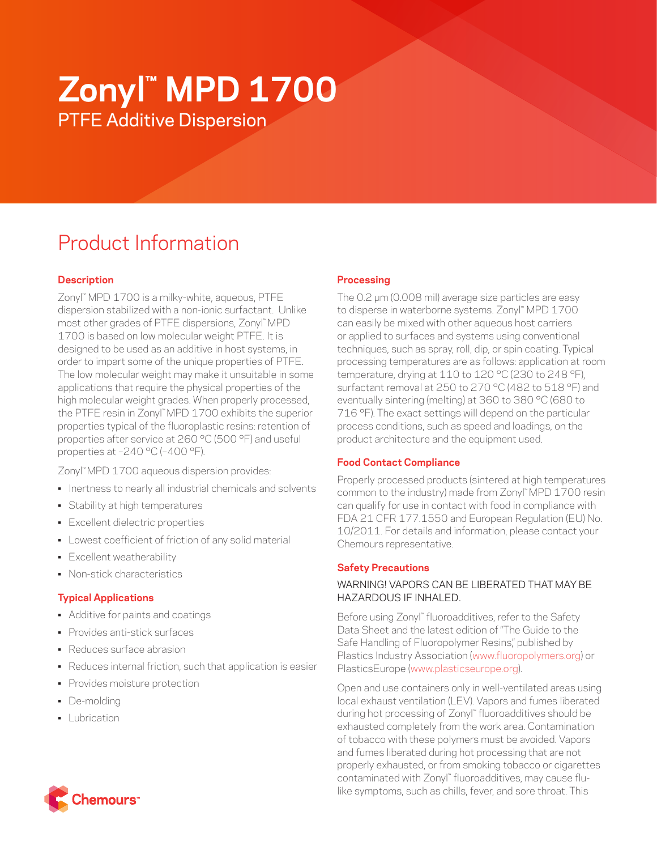# **Zonyl™ MPD 1700** PTFE Additive Dispersion

# Product Information

# **Description**

Zonyl™ MPD 1700 is a milky-white, aqueous, PTFE dispersion stabilized with a non-ionic surfactant. Unlike most other grades of PTFE dispersions, Zonyl™ MPD 1700 is based on low molecular weight PTFE. It is designed to be used as an additive in host systems, in order to impart some of the unique properties of PTFE. The low molecular weight may make it unsuitable in some applications that require the physical properties of the high molecular weight grades. When properly processed, the PTFE resin in Zonyl™ MPD 1700 exhibits the superior properties typical of the fluoroplastic resins: retention of properties after service at 260 °C (500 °F) and useful properties at –240 °C (–400 °F).

Zonyl™ MPD 1700 aqueous dispersion provides:

- Inertness to nearly all industrial chemicals and solvents
- Stability at high temperatures
- Excellent dielectric properties
- Lowest coefficient of friction of any solid material
- Excellent weatherability
- Non-stick characteristics

# **Typical Applications**

- Additive for paints and coatings
- Provides anti-stick surfaces
- Reduces surface abrasion
- Reduces internal friction, such that application is easier
- Provides moisture protection
- De-molding
- **•** Lubrication

# **Processing**

The 0.2 μm (0.008 mil) average size particles are easy to disperse in waterborne systems. Zonyl™ MPD 1700 can easily be mixed with other aqueous host carriers or applied to surfaces and systems using conventional techniques, such as spray, roll, dip, or spin coating. Typical processing temperatures are as follows: application at room temperature, drying at 110 to 120 °C (230 to 248 °F), surfactant removal at 250 to 270 °C (482 to 518 °F) and eventually sintering (melting) at 360 to 380 °C (680 to 716 °F). The exact settings will depend on the particular process conditions, such as speed and loadings, on the product architecture and the equipment used.

# **Food Contact Compliance**

Properly processed products (sintered at high temperatures common to the industry) made from Zonyl™ MPD 1700 resin can qualify for use in contact with food in compliance with FDA 21 CFR 177.1550 and European Regulation (EU) No. 10/2011. For details and information, please contact your Chemours representative.

#### **Safety Precautions**

## WARNING! VAPORS CAN BE LIBERATED THAT MAY BE HAZARDOUS IF INHALED.

Before using Zonyl™ fluoroadditives, refer to the Safety Data Sheet and the latest edition of "The Guide to the Safe Handling of Fluoropolymer Resins," published by Plastics Industry Association [\(www.fluoropolymers.org](http://www.fluoropolymers.org)) or PlasticsEurope ([www.plasticseurope.org](http://www.plasticseurope.org)).

Open and use containers only in well-ventilated areas using local exhaust ventilation (LEV). Vapors and fumes liberated during hot processing of Zonyl™ fluoroadditives should be exhausted completely from the work area. Contamination of tobacco with these polymers must be avoided. Vapors and fumes liberated during hot processing that are not properly exhausted, or from smoking tobacco or cigarettes contaminated with Zonyl™ fluoroadditives, may cause flulike symptoms, such as chills, fever, and sore throat. This